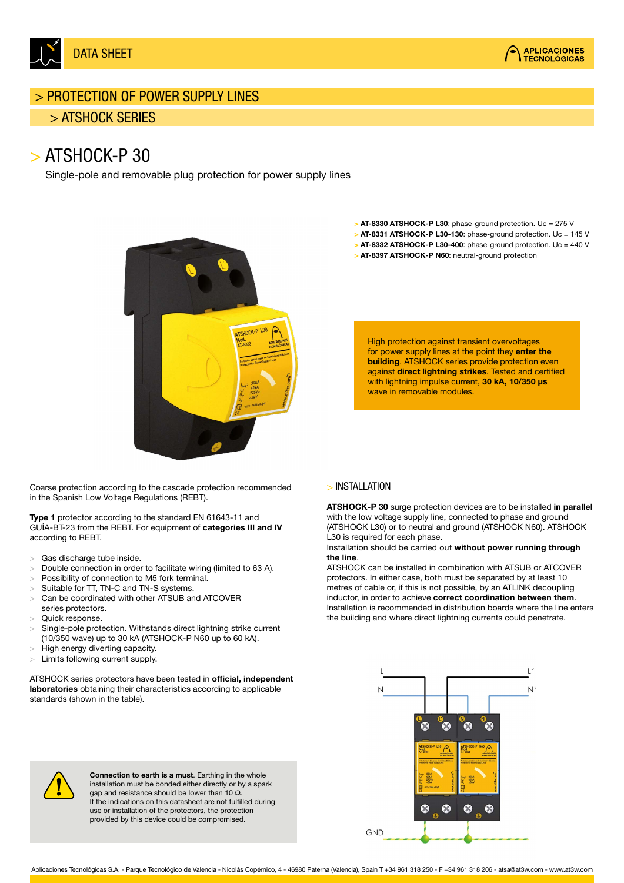

## > PROTECTION OF POWER SUPPLY LINES

### > ATSHOCK SERIES

# > ATSHOCK-P 30

Single-pole and removable plug protection for power supply lines



Coarse protection according to the cascade protection recommended in the Spanish Low Voltage Regulations (REBT).

Type 1 protector according to the standard EN 61643-11 and GUÍA-BT-23 from the REBT. For equipment of categories III and IV according to REBT.

- > Gas discharge tube inside.
- > Double connection in order to facilitate wiring (limited to 63 A).
- > Possibility of connection to M5 fork terminal.
- Suitable for TT, TN-C and TN-S systems.
- > Can be coordinated with other ATSUB and ATCOVER series protectors.
- Quick response.
- Single-pole protection. Withstands direct lightning strike current (10/350 wave) up to 30 kA (ATSHOCK-P N60 up to 60 kA).
- > High energy diverting capacity.
- Limits following current supply.

ATSHOCK series protectors have been tested in official, independent laboratories obtaining their characteristics according to applicable standards (shown in the table).

> AT-8330 ATSHOCK-P L30: phase-ground protection. Uc = 275 V > AT-8331 ATSHOCK-P L30-130: phase-ground protection. Uc = 145 V

**APLICACIONES TECNOLÓGICAS** 

> AT-8332 ATSHOCK-P L30-400: phase-ground protection. Uc = 440 V > AT-8397 ATSHOCK-P N60: neutral-ground protection

High protection against transient overvoltages for power supply lines at the point they enter the building. ATSHOCK series provide protection even against direct lightning strikes. Tested and certified with lightning impulse current, 30 kA, 10/350 μs wave in removable modules.

#### > INSTALLATION

ATSHOCK-P 30 surge protection devices are to be installed in parallel with the low voltage supply line, connected to phase and ground (ATSHOCK L30) or to neutral and ground (ATSHOCK N60). ATSHOCK L30 is required for each phase.

Installation should be carried out without power running through the line.

ATSHOCK can be installed in combination with ATSUB or ATCOVER protectors. In either case, both must be separated by at least 10 metres of cable or, if this is not possible, by an ATLINK decoupling inductor, in order to achieve correct coordination between them. Installation is recommended in distribution boards where the line enters the building and where direct lightning currents could penetrate.





Connection to earth is a must. Earthing in the whole installation must be bonded either directly or by a spark aap and resistance should be lower than 10  $Ω$ . If the indications on this datasheet are not fulfilled during use or installation of the protectors, the protection provided by this device could be compromised.